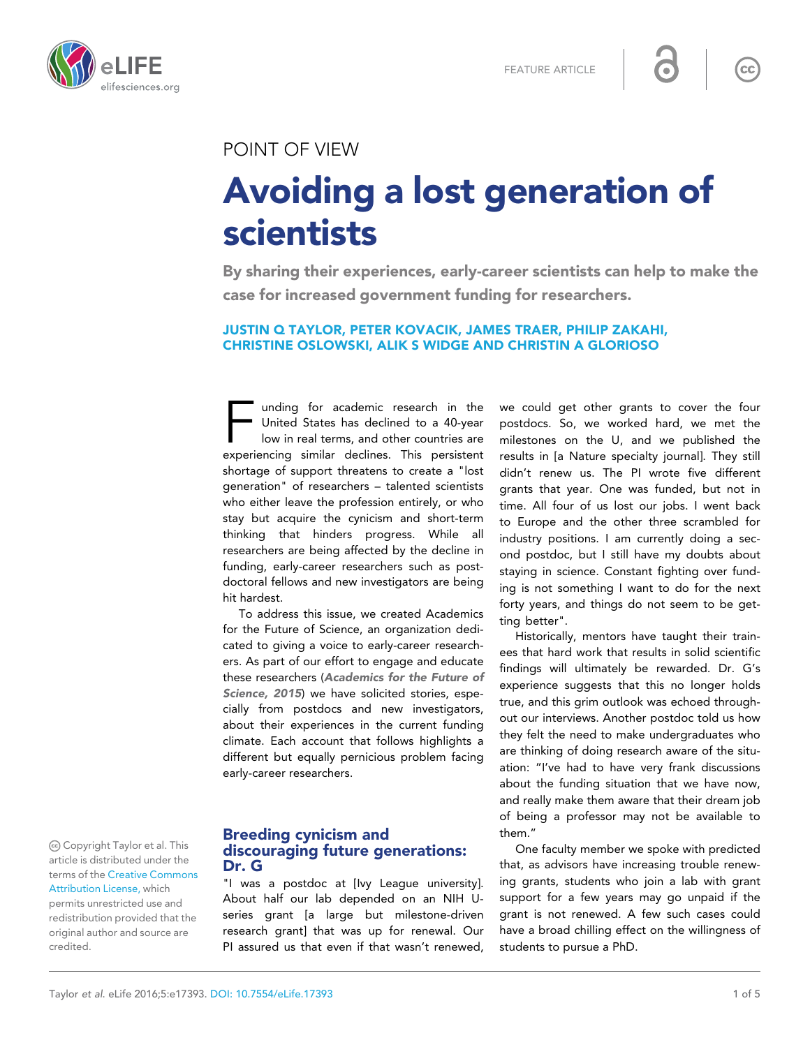FEATURE ARTICLE



### POINT OF VIEW

# Avoiding a lost generation of scientists

By sharing their experiences, early-career scientists can help to make the case for increased government funding for researchers.

### JUSTIN Q TAYLOR, PETER KOVACIK, JAMES TRAER, PHILIP ZAKAHI, CHRISTINE OSLOWSKI, ALIK S WIDGE AND CHRISTIN A GLORIOSO

unding for academic research in the<br>United States has declined to a 40-year<br>Iow in real terms, and other countries are<br>experiencing similar declines. This persistent unding for academic research in the United States has declined to a 40-year low in real terms, and other countries are shortage of support threatens to create a "lost generation" of researchers – talented scientists who either leave the profession entirely, or who stay but acquire the cynicism and short-term thinking that hinders progress. While all researchers are being affected by the decline in funding, early-career researchers such as postdoctoral fellows and new investigators are being hit hardest.

To address this issue, we created Academics for the Future of Science, an organization dedicated to giving a voice to early-career researchers. As part of our effort to engage and educate these researchers ([Academics for the Future of](#page-4-0) [Science, 2015](#page-4-0)) we have solicited stories, especially from postdocs and new investigators, about their experiences in the current funding climate. Each account that follows highlights a different but equally pernicious problem facing early-career researchers.

### Breeding cynicism and discouraging future generations: Dr. G

"I was a postdoc at [Ivy League university]. About half our lab depended on an NIH Useries grant [a large but milestone-driven research grant] that was up for renewal. Our PI assured us that even if that wasn't renewed, we could get other grants to cover the four postdocs. So, we worked hard, we met the milestones on the U, and we published the results in [a Nature specialty journal]. They still didn't renew us. The PI wrote five different grants that year. One was funded, but not in time. All four of us lost our jobs. I went back to Europe and the other three scrambled for industry positions. I am currently doing a second postdoc, but I still have my doubts about staying in science. Constant fighting over funding is not something I want to do for the next forty years, and things do not seem to be getting better".

Historically, mentors have taught their trainees that hard work that results in solid scientific findings will ultimately be rewarded. Dr. G's experience suggests that this no longer holds true, and this grim outlook was echoed throughout our interviews. Another postdoc told us how they felt the need to make undergraduates who are thinking of doing research aware of the situation: "I've had to have very frank discussions about the funding situation that we have now, and really make them aware that their dream job of being a professor may not be available to them."

One faculty member we spoke with predicted that, as advisors have increasing trouble renewing grants, students who join a lab with grant support for a few years may go unpaid if the grant is not renewed. A few such cases could have a broad chilling effect on the willingness of students to pursue a PhD.

Copyright Taylor et al. This article is distributed under the terms of the [Creative Commons](http://creativecommons.org/licenses/by/4.0/) [Attribution License,](http://creativecommons.org/licenses/by/4.0/) which permits unrestricted use and redistribution provided that the original author and source are credited.

 $cc$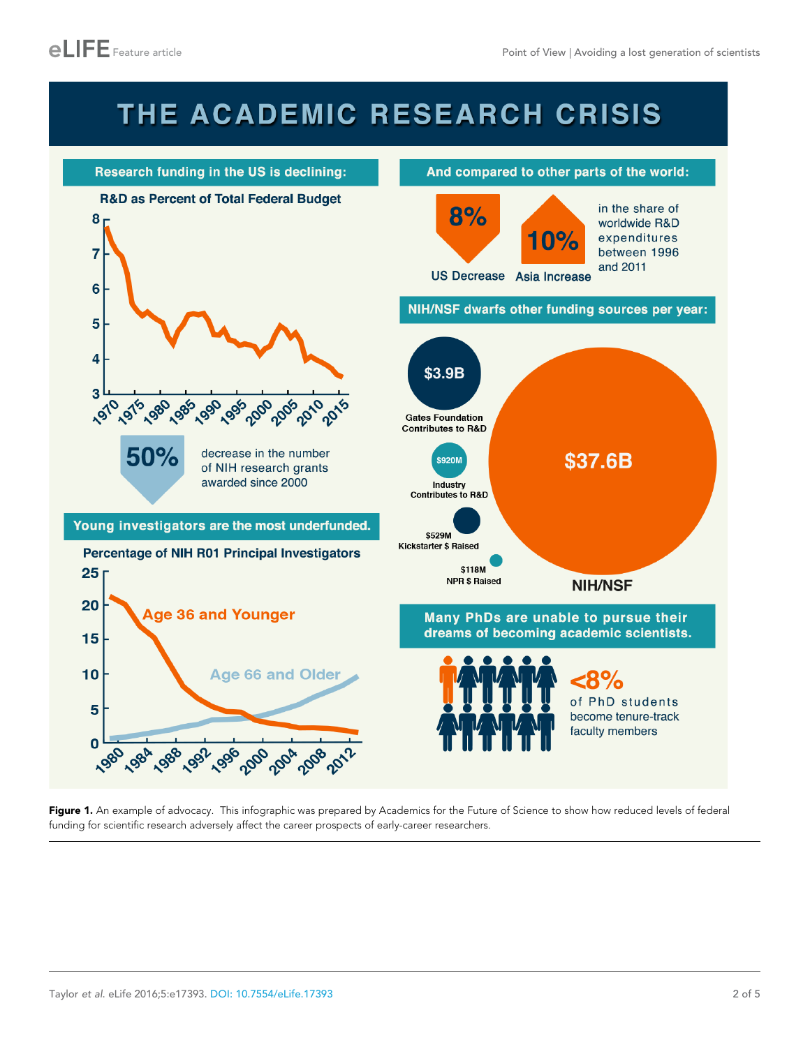## THE ACADEMIC RESEARCH CRISIS

<span id="page-1-0"></span>

Figure 1. An example of advocacy. This infographic was prepared by Academics for the Future of Science to show how reduced levels of federal funding for scientific research adversely affect the career prospects of early-career researchers.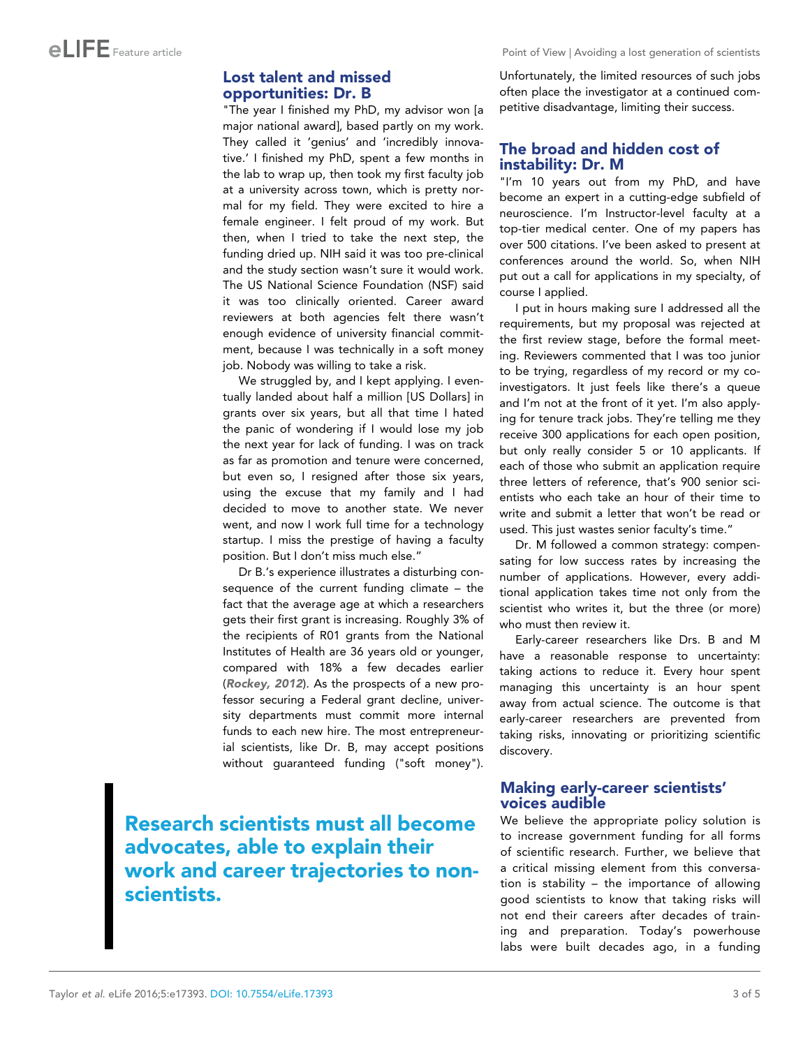### Lost talent and missed opportunities: Dr. B

"The year I finished my PhD, my advisor won [a major national award], based partly on my work. They called it 'genius' and 'incredibly innovative.' I finished my PhD, spent a few months in the lab to wrap up, then took my first faculty job at a university across town, which is pretty normal for my field. They were excited to hire a female engineer. I felt proud of my work. But then, when I tried to take the next step, the funding dried up. NIH said it was too pre-clinical and the study section wasn't sure it would work. The US National Science Foundation (NSF) said it was too clinically oriented. Career award reviewers at both agencies felt there wasn't enough evidence of university financial commitment, because I was technically in a soft money job. Nobody was willing to take a risk.

We struggled by, and I kept applying. I eventually landed about half a million [US Dollars] in grants over six years, but all that time I hated the panic of wondering if I would lose my job the next year for lack of funding. I was on track as far as promotion and tenure were concerned, but even so, I resigned after those six years, using the excuse that my family and I had decided to move to another state. We never went, and now I work full time for a technology startup. I miss the prestige of having a faculty position. But I don't miss much else."

Dr B.'s experience illustrates a disturbing consequence of the current funding climate – the fact that the average age at which a researchers gets their first grant is increasing. Roughly 3% of the recipients of R01 grants from the National Institutes of Health are 36 years old or younger, compared with 18% a few decades earlier ([Rockey, 2012](#page-4-0)). As the prospects of a new professor securing a Federal grant decline, university departments must commit more internal funds to each new hire. The most entrepreneurial scientists, like Dr. B, may accept positions without guaranteed funding ("soft money").

Research scientists must all become advocates, able to explain their work and career trajectories to nonscientists.

Unfortunately, the limited resources of such jobs often place the investigator at a continued competitive disadvantage, limiting their success.

### The broad and hidden cost of instability: Dr. M

"I'm 10 years out from my PhD, and have become an expert in a cutting-edge subfield of neuroscience. I'm Instructor-level faculty at a top-tier medical center. One of my papers has over 500 citations. I've been asked to present at conferences around the world. So, when NIH put out a call for applications in my specialty, of course I applied.

I put in hours making sure I addressed all the requirements, but my proposal was rejected at the first review stage, before the formal meeting. Reviewers commented that I was too junior to be trying, regardless of my record or my coinvestigators. It just feels like there's a queue and I'm not at the front of it yet. I'm also applying for tenure track jobs. They're telling me they receive 300 applications for each open position, but only really consider 5 or 10 applicants. If each of those who submit an application require three letters of reference, that's 900 senior scientists who each take an hour of their time to write and submit a letter that won't be read or used. This just wastes senior faculty's time."

Dr. M followed a common strategy: compensating for low success rates by increasing the number of applications. However, every additional application takes time not only from the scientist who writes it, but the three (or more) who must then review it.

Early-career researchers like Drs. B and M have a reasonable response to uncertainty: taking actions to reduce it. Every hour spent managing this uncertainty is an hour spent away from actual science. The outcome is that early-career researchers are prevented from taking risks, innovating or prioritizing scientific discovery.

### Making early-career scientists' voices audible

We believe the appropriate policy solution is to increase government funding for all forms of scientific research. Further, we believe that a critical missing element from this conversation is stability – the importance of allowing good scientists to know that taking risks will not end their careers after decades of training and preparation. Today's powerhouse labs were built decades ago, in a funding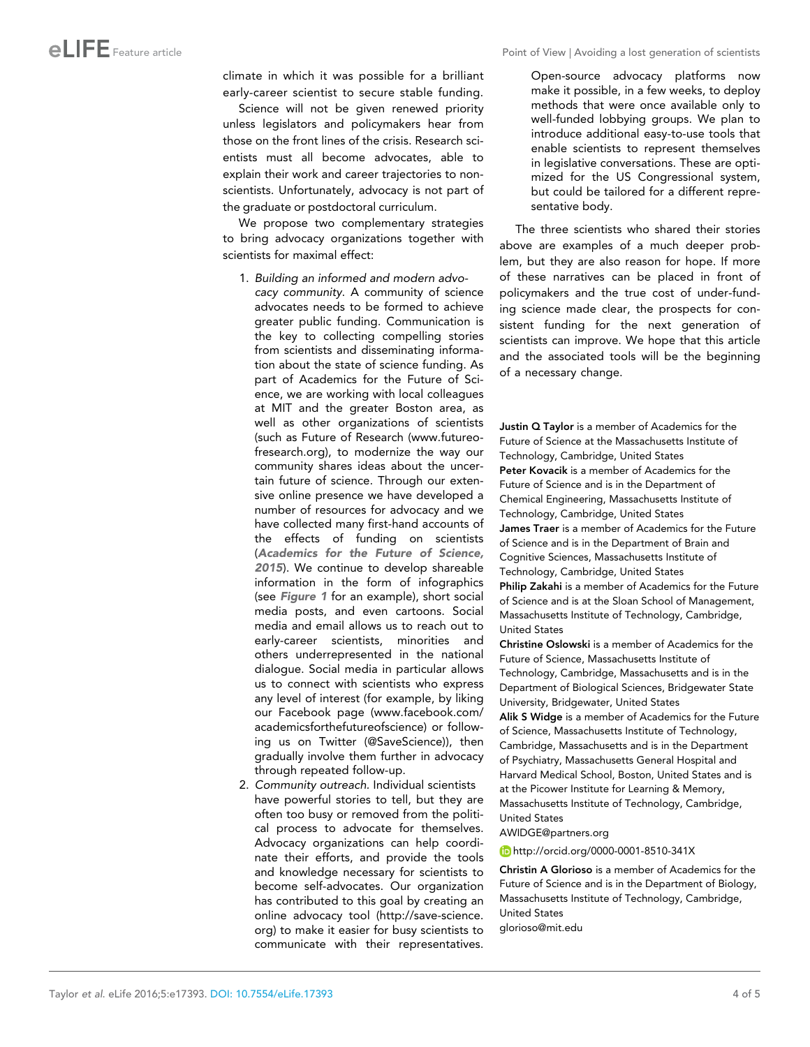climate in which it was possible for a brilliant early-career scientist to secure stable funding.

Science will not be given renewed priority unless legislators and policymakers hear from those on the front lines of the crisis. Research scientists must all become advocates, able to explain their work and career trajectories to nonscientists. Unfortunately, advocacy is not part of the graduate or postdoctoral curriculum.

We propose two complementary strategies to bring advocacy organizations together with scientists for maximal effect:

- 1. Building an informed and modern advocacy community. A community of science advocates needs to be formed to achieve greater public funding. Communication is the key to collecting compelling stories from scientists and disseminating information about the state of science funding. As part of Academics for the Future of Science, we are working with local colleagues at MIT and the greater Boston area, as well as other organizations of scientists (such as Future of Research (www.futureofresearch.org), to modernize the way our community shares ideas about the uncertain future of science. Through our extensive online presence we have developed a number of resources for advocacy and we have collected many first-hand accounts of the effects of funding on scientists ([Academics for the Future of Science,](#page-4-0) [2015](#page-4-0)). We continue to develop shareable information in the form of infographics (see [Figure 1](#page-1-0) for an example), short social media posts, and even cartoons. Social media and email allows us to reach out to early-career scientists, minorities and others underrepresented in the national dialogue. Social media in particular allows us to connect with scientists who express any level of interest (for example, by liking our Facebook page ([www.facebook.com/](https://www.facebook.com/academicsforthefutureofscience) [academicsforthefutureofscience](https://www.facebook.com/academicsforthefutureofscience)) or following us on Twitter ([@SaveScience](https://twitter.com/savescience))), then gradually involve them further in advocacy through repeated follow-up.
- 2. Community outreach. Individual scientists have powerful stories to tell, but they are often too busy or removed from the political process to advocate for themselves. Advocacy organizations can help coordinate their efforts, and provide the tools and knowledge necessary for scientists to become self-advocates. Our organization has contributed to this goal by creating an online advocacy tool [\(http://save-science.](http://save-science.org) [org](http://save-science.org)) to make it easier for busy scientists to communicate with their representatives.

Open-source advocacy platforms now make it possible, in a few weeks, to deploy methods that were once available only to well-funded lobbying groups. We plan to introduce additional easy-to-use tools that enable scientists to represent themselves in legislative conversations. These are optimized for the US Congressional system, but could be tailored for a different representative body.

The three scientists who shared their stories above are examples of a much deeper problem, but they are also reason for hope. If more of these narratives can be placed in front of policymakers and the true cost of under-funding science made clear, the prospects for consistent funding for the next generation of scientists can improve. We hope that this article and the associated tools will be the beginning of a necessary change.

Justin Q Taylor is a member of Academics for the Future of Science at the Massachusetts Institute of Technology, Cambridge, United States Peter Kovacik is a member of Academics for the Future of Science and is in the Department of Chemical Engineering, Massachusetts Institute of Technology, Cambridge, United States James Traer is a member of Academics for the Future of Science and is in the Department of Brain and Cognitive Sciences, Massachusetts Institute of Technology, Cambridge, United States Philip Zakahi is a member of Academics for the Future of Science and is at the Sloan School of Management, Massachusetts Institute of Technology, Cambridge, United States

Christine Oslowski is a member of Academics for the Future of Science, Massachusetts Institute of Technology, Cambridge, Massachusetts and is in the Department of Biological Sciences, Bridgewater State University, Bridgewater, United States

Alik S Widge is a member of Academics for the Future of Science, Massachusetts Institute of Technology, Cambridge, Massachusetts and is in the Department of Psychiatry, Massachusetts General Hospital and Harvard Medical School, Boston, United States and is at the Picower Institute for Learning & Memory, Massachusetts Institute of Technology, Cambridge, United States

AWIDGE@partners.org

<http://orcid.org/0000-0001-8510-341X>

Christin A Glorioso is a member of Academics for the Future of Science and is in the Department of Biology, Massachusetts Institute of Technology, Cambridge, United States glorioso@mit.edu